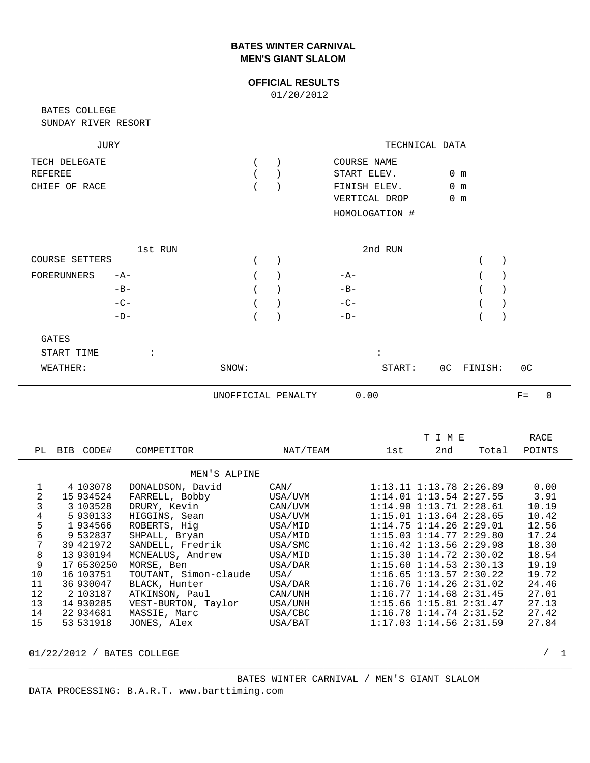## **BATES WINTER CARNIVAL MEN'S GIANT SLALOM**

## **OFFICIAL RESULTS**

01/20/2012

SUNDAY RIVER RESORT BATES COLLEGE

| JURY          | TECHNICAL DATA |                |               |
|---------------|----------------|----------------|---------------|
| TECH DELEGATE |                | COURSE NAME    |               |
| REFEREE       |                | START ELEV.    | $0 \text{ m}$ |
| CHIEF OF RACE |                | FINISH ELEV.   | $0 \text{ m}$ |
|               |                | VERTICAL DROP  | 0 m           |
|               |                | HOMOLOGATION # |               |

|                      | 1st RUN |  | 2nd RUN |  |
|----------------------|---------|--|---------|--|
| COURSE SETTERS       |         |  |         |  |
| FORERUNNERS          | $-A-$   |  | $-A-$   |  |
|                      | $-B-$   |  | $-B-$   |  |
|                      | $-C-$   |  | $-C-$   |  |
|                      | $-D-$   |  | $-D-$   |  |
| $\sim$ $\sim$ $\sim$ |         |  |         |  |

| GATES      |       |        |            |                |
|------------|-------|--------|------------|----------------|
| START TIME |       |        |            |                |
| WEATHER:   | SNOW: | START: | OC FINISH: | 0 <sup>C</sup> |

UNOFFICIAL PENALTY 0.00

| INAL I I |  |  |
|----------|--|--|
|          |  |  |

|    |            |                       |          |     | T I M E                       |       | RACE   |
|----|------------|-----------------------|----------|-----|-------------------------------|-------|--------|
| PL | BIB CODE#  | COMPETITOR            | NAT/TEAM | 1st | 2nd                           | Total | POINTS |
|    |            | MEN'S ALPINE          |          |     |                               |       |        |
|    |            |                       |          |     |                               |       |        |
|    | 4 103078   | DONALDSON, David      | CAN/     |     | $1:13.11$ $1:13.78$ $2:26.89$ |       | 0.00   |
| 2  | 15 934524  | FARRELL, Bobby        | USA/UVM  |     | $1:14.01$ $1:13.54$ $2:27.55$ |       | 3.91   |
| 3  | 3 103528   | DRURY, Kevin          | CAN/UVM  |     | $1:14.90$ $1:13.71$ $2:28.61$ |       | 10.19  |
| 4  | 5 930133   | HIGGINS, Sean         | USA/UVM  |     | $1:15.01$ $1:13.64$ $2:28.65$ |       | 10.42  |
| 5  | 1 934566   | ROBERTS, Hig          | USA/MID  |     | $1:14.75$ $1:14.26$ $2:29.01$ |       | 12.56  |
| 6  | 9 532837   | SHPALL, Bryan         | USA/MID  |     | $1:15.03$ $1:14.77$ $2:29.80$ |       | 17.24  |
| 7  | 39 421972  | SANDELL, Fredrik      | USA/SMC  |     | $1:16.42$ $1:13.56$ $2:29.98$ |       | 18.30  |
| 8  | 13 930194  | MCNEALUS, Andrew      | USA/MID  |     | $1:15.30$ $1:14.72$ $2:30.02$ |       | 18.54  |
| 9  | 17 6530250 | MORSE, Ben            | USA/DAR  |     | $1:15.60$ $1:14.53$ $2:30.13$ |       | 19.19  |
| 10 | 16 103751  | TOUTANT, Simon-claude | USA/     |     | $1:16.65$ $1:13.57$ $2:30.22$ |       | 19.72  |
| 11 | 36 930047  | BLACK, Hunter         | USA/DAR  |     | $1:16.76$ $1:14.26$ $2:31.02$ |       | 24.46  |
| 12 | 2 103187   | ATKINSON, Paul        | CAN/UNH  |     | $1:16.77$ $1:14.68$ $2:31.45$ |       | 27.01  |
| 13 | 14 930285  | VEST-BURTON, Taylor   | USA/UNH  |     | 1:15.66 1:15.81 2:31.47       |       | 27.13  |
| 14 | 22 934681  | MASSIE, Marc          | USA/CBC  |     | $1:16.78$ $1:14.74$ $2:31.52$ |       | 27.42  |
| 15 | 53 531918  | JONES, Alex           | USA/BAT  |     | $1:17.03$ $1:14.56$ $2:31.59$ |       | 27.84  |

\_\_\_\_\_\_\_\_\_\_\_\_\_\_\_\_\_\_\_\_\_\_\_\_\_\_\_\_\_\_\_\_\_\_\_\_\_\_\_\_\_\_\_\_\_\_\_\_\_\_\_\_\_\_\_\_\_\_\_\_\_\_\_\_\_\_\_\_\_\_\_\_\_\_\_\_\_\_\_\_\_\_\_\_\_\_\_\_\_\_\_\_\_\_

01/22/2012 / BATES COLLEGE 2008 2009 12:00 2009 2009 2012 2020 2020 2030 2040 2050 2060 2070 2080 2090 2009 20

 $F=$  0

 BATES WINTER CARNIVAL / MEN'S GIANT SLALOM DATA PROCESSING: B.A.R.T. www.barttiming.com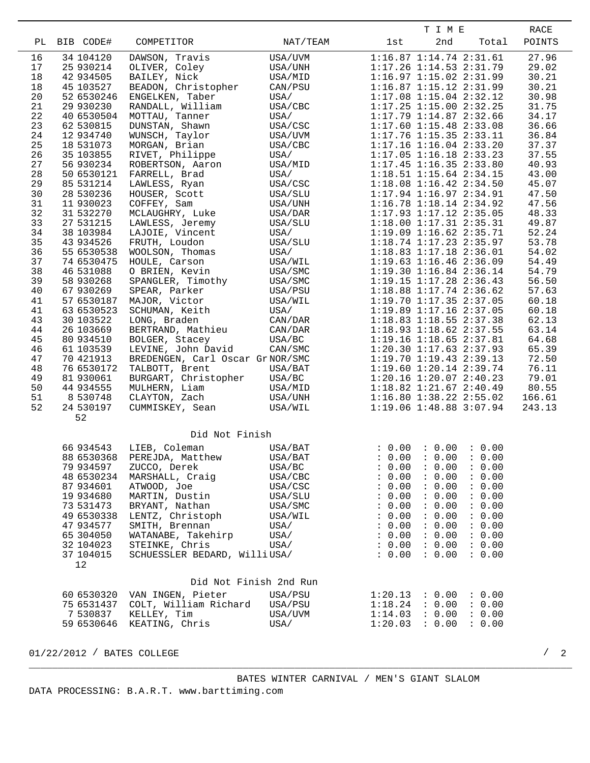|    |            |                                 |          |         | T I M E                       |                      | RACE   |
|----|------------|---------------------------------|----------|---------|-------------------------------|----------------------|--------|
| РL | BIB CODE#  | COMPETITOR                      | NAT/TEAM | 1st     | 2nd                           | Total                | POINTS |
|    |            |                                 |          |         |                               |                      |        |
| 16 | 34 104120  | DAWSON, Travis                  | USA/UVM  |         | $1:16.87$ $1:14.74$ $2:31.61$ |                      | 27.96  |
| 17 | 25 930214  | OLIVER, Coley                   | USA/UNH  |         | 1:17.26 1:14.53 2:31.79       |                      | 29.02  |
| 18 | 42 934505  | BAILEY, Nick                    | USA/MID  |         | 1:16.97 1:15.02 2:31.99       |                      | 30.21  |
| 18 | 45 103527  | BEADON, Christopher             | CAN/PSU  |         | 1:16.87 1:15.12 2:31.99       |                      | 30.21  |
| 20 | 52 6530246 | ENGELKEN, Taber                 | USA/     |         | $1:17.08$ $1:15.04$ $2:32.12$ |                      | 30.98  |
| 21 | 29 930230  | RANDALL, William                | USA/CBC  |         | 1:17.25 1:15.00 2:32.25       |                      | 31.75  |
| 22 | 40 6530504 | MOTTAU, Tanner                  | USA/     |         | 1:17.79 1:14.87 2:32.66       |                      | 34.17  |
| 23 | 62 530815  | DUNSTAN, Shawn                  | USA/CSC  |         | $1:17.60$ $1:15.48$ $2:33.08$ |                      | 36.66  |
| 24 | 12 934740  | WUNSCH, Taylor                  | USA/UVM  |         | $1:17.76$ $1:15.35$ $2:33.11$ |                      | 36.84  |
| 25 | 18 531073  | MORGAN, Brian                   | USA/CBC  |         | $1:17.16$ $1:16.04$ $2:33.20$ |                      | 37.37  |
| 26 | 35 103855  | RIVET, Philippe                 | USA/     |         | $1:17.05$ $1:16.18$ $2:33.23$ |                      | 37.55  |
| 27 | 56 930234  | ROBERTSON, Aaron                | USA/MID  |         | $1:17.45$ $1:16.35$ $2:33.80$ |                      | 40.93  |
| 28 | 50 6530121 | FARRELL, Brad                   | USA/     |         | $1:18.51$ $1:15.64$ $2:34.15$ |                      | 43.00  |
| 29 | 85 531214  | LAWLESS, Ryan                   | USA/CSC  |         | $1:18.08$ $1:16.42$ $2:34.50$ |                      | 45.07  |
| 30 | 28 530236  | HOUSER, Scott                   | USA/SLU  |         | $1:17.94$ $1:16.97$ $2:34.91$ |                      | 47.50  |
| 31 | 11 930023  | COFFEY, Sam                     | USA/UNH  |         | 1:16.78 1:18.14 2:34.92       |                      | 47.56  |
| 32 | 31 532270  | MCLAUGHRY, Luke                 | USA/DAR  |         | 1:17.93 1:17.12 2:35.05       |                      | 48.33  |
| 33 | 27 531215  | LAWLESS, Jeremy                 | USA/SLU  |         | 1:18.00 1:17.31 2:35.31       |                      | 49.87  |
| 34 | 38 103984  | LAJOIE, Vincent                 | USA/     |         | $1:19.09$ $1:16.62$ $2:35.71$ |                      | 52.24  |
| 35 | 43 934526  | FRUTH, Loudon                   | USA/SLU  |         | $1:18.74$ $1:17.23$ $2:35.97$ |                      | 53.78  |
| 36 | 55 6530538 | WOOLSON, Thomas                 | USA/     |         | 1:18.83 1:17.18 2:36.01       |                      | 54.02  |
| 37 | 74 6530475 | HOULE, Carson                   | USA/WIL  |         | 1:19.63 1:16.46 2:36.09       |                      | 54.49  |
| 38 | 46 531088  | O BRIEN, Kevin                  | USA/SMC  |         | 1:19.30 1:16.84 2:36.14       |                      | 54.79  |
| 39 | 58 930268  | SPANGLER, Timothy               | USA/SMC  |         | 1:19.15 1:17.28 2:36.43       |                      | 56.50  |
| 40 | 67 930269  | SPEAR, Parker                   | USA/PSU  |         | 1:18.88 1:17.74 2:36.62       |                      | 57.63  |
| 41 | 57 6530187 | MAJOR, Victor                   | USA/WIL  |         | 1:19.70 1:17.35 2:37.05       |                      | 60.18  |
| 41 | 63 6530523 | SCHUMAN, Keith                  | USA/     |         | 1:19.89 1:17.16 2:37.05       |                      | 60.18  |
| 43 | 30 103522  | LONG, Braden                    | CAN/DAR  |         | $1:18.83$ $1:18.55$ $2:37.38$ |                      | 62.13  |
| 44 | 26 103669  | BERTRAND, Mathieu               | CAN/DAR  |         | 1:18.93 1:18.62 2:37.55       |                      | 63.14  |
| 45 | 80 934510  | BOLGER, Stacey                  | USA/BC   |         | $1:19.16$ $1:18.65$ $2:37.81$ |                      | 64.68  |
| 46 | 61 103539  | LEVINE, John David              | CAN/SMC  |         | 1:20.30 1:17.63 2:37.93       |                      | 65.39  |
| 47 | 70 421913  | BREDENGEN, Carl Oscar GrNOR/SMC |          |         | 1:19.70 1:19.43 2:39.13       |                      | 72.50  |
| 48 | 76 6530172 | TALBOTT, Brent                  | USA/BAT  |         | 1:19.60 1:20.14 2:39.74       |                      | 76.11  |
| 49 | 81 930061  | BURGART, Christopher            | USA/BC   |         | $1:20.16$ $1:20.07$ $2:40.23$ |                      | 79.01  |
| 50 | 44 934555  | MULHERN, Liam                   | USA/MID  |         | 1:18.82 1:21.67 2:40.49       |                      | 80.55  |
| 51 | 8 530748   | CLAYTON, Zach                   | USA/UNH  |         | $1:16.80$ $1:38.22$ $2:55.02$ |                      | 166.61 |
| 52 | 24 530197  | CUMMISKEY, Sean                 | USA/WIL  |         | $1:19.06$ $1:48.88$ $3:07.94$ |                      | 243.13 |
|    | 52         |                                 |          |         |                               |                      |        |
|    |            |                                 |          |         |                               |                      |        |
|    |            | Did Not Finish                  |          |         |                               |                      |        |
|    | 66 934543  | LIEB, Coleman                   | USA/BAT  |         | : 0.00 : 0.00 : 0.00          |                      |        |
|    |            | 88 6530368 PEREJDA, Matthew     | USA/BAT  |         |                               | : 0.00 : 0.00 : 0.00 |        |
|    | 79 934597  | ZUCCO, Derek                    | USA/BC   | : 0.00  | : 0.00                        | : 0.00               |        |
|    | 48 6530234 | MARSHALL, Craig                 | USA/CBC  | : 0.00  | : 0.00 : 0.00                 |                      |        |
|    | 87 934601  | ATWOOD, Joe                     | USA/CSC  | : 0.00  | : 0.00                        | : 0.00               |        |
|    | 19 934680  | MARTIN, Dustin                  | USA/SLU  | : 0.00  | : 0.00                        | : 0.00               |        |
|    | 73 531473  | BRYANT, Nathan                  | USA/SMC  | : 0.00  | : 0.00                        | : 0.00               |        |
|    | 49 6530338 | LENTZ, Christoph                | USA/WIL  | : 0.00  | : 0.00                        | : 0.00               |        |
|    | 47 934577  | SMITH, Brennan                  | USA/     | : 0.00  | : 0.00                        | : 0.00               |        |
|    | 65 304050  | WATANABE, Takehirp              | USA/     | : 0.00  | : 0.00                        | : 0.00               |        |
|    | 32 104023  | STEINKE, Chris                  | USA/     | : 0.00  | : 0.00                        | : 0.00               |        |
|    | 37 104015  | SCHUESSLER BEDARD, WilliUSA/    |          | : 0.00  | : 0.00                        | : 0.00               |        |
|    | 12         |                                 |          |         |                               |                      |        |
|    |            |                                 |          |         |                               |                      |        |
|    |            | Did Not Finish 2nd Run          |          |         |                               |                      |        |
|    | 60 6530320 | VAN INGEN, Pieter               | USA/PSU  | 1:20.13 | : 0.00                        | : 0.00               |        |
|    | 75 6531437 | COLT, William Richard USA/PSU   |          | 1:18.24 | : 0.00                        | : 0.00               |        |
|    | 7530837    | KELLEY, Tim                     | USA/UVM  | 1:14.03 | : 0.00                        | : 0.00               |        |
|    | 59 6530646 | KEATING, Chris                  | USA/     | 1:20.03 | : 0.00                        | : 0.00               |        |
|    |            |                                 |          |         |                               |                      |        |

01/22/2012 / BATES COLLEGE 2007 2012 2

\_\_\_\_\_\_\_\_\_\_\_\_\_\_\_\_\_\_\_\_\_\_\_\_\_\_\_\_\_\_\_\_\_\_\_\_\_\_\_\_\_\_\_\_\_\_\_\_\_\_\_\_\_\_\_\_\_\_\_\_\_\_\_\_\_\_\_\_\_\_\_\_\_\_\_\_\_\_\_\_\_\_\_\_\_\_\_\_\_\_\_\_\_\_

 $/2$